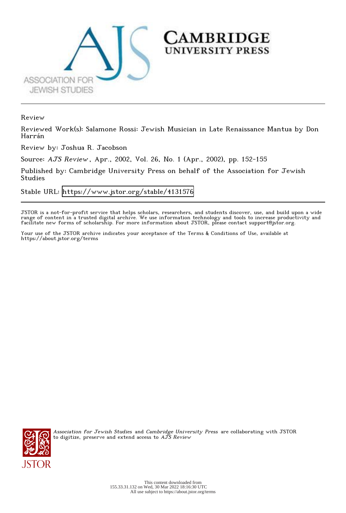

Review

Reviewed Work(s): Salamone Rossi: Jewish Musician in Late Renaissance Mantua by Don Harrán

Review by: Joshua R. Jacobson

Source: AJS Review , Apr., 2002, Vol. 26, No. 1 (Apr., 2002), pp. 152-155

Published by: Cambridge University Press on behalf of the Association for Jewish Studies

Stable URL:<https://www.jstor.org/stable/4131576>

JSTOR is a not-for-profit service that helps scholars, researchers, and students discover, use, and build upon a wide range of content in a trusted digital archive. We use information technology and tools to increase productivity and facilitate new forms of scholarship. For more information about JSTOR, please contact support@jstor.org.

Your use of the JSTOR archive indicates your acceptance of the Terms & Conditions of Use, available at https://about.jstor.org/terms



Association for Jewish Studies and Cambridge University Press are collaborating with JSTOR to digitize, preserve and extend access to  $A\tilde{J} \tilde{S}$   $Review$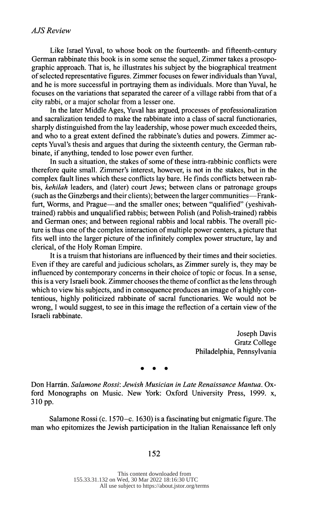Like Israel Yuval, to whose book on the fourteenth- and fifteenth-century German rabbinate this book is in some sense the sequel, Zimmer takes a prosopo graphic approach. That is, he illustrates his subject by the biographical treatment of selected representative figures. Zimmer focuses on fewer individuals than Yuval, and he is more successful in portraying them as individuals. More than Yuval, he focuses on the variations that separated the career of a village rabbi from that of a city rabbi, or a major scholar from a lesser one.

 In the later Middle Ages, Yuval has argued, processes of professionalization and sacralization tended to make the rabbinate into a class of sacral functionaries, sharply distinguished from the lay leadership, whose power much exceeded theirs, and who to a great extent defined the rabbinate's duties and powers. Zimmer ac cepts Yuval's thesis and argues that during the sixteenth century, the German rab binate, if anything, tended to lose power even further.

 In such a situation, the stakes of some of these intra-rabbinic conflicts were therefore quite small. Zimmer's interest, however, is not in the stakes, but in the complex fault lines which these conflicts lay bare. He finds conflicts between rab bis, *kehilah* leaders, and (later) court Jews; between clans or patronage groups (such as the Ginzbergs and their clients); between the larger communities--Frank furt, Worms, and Prague—and the smaller ones; between "qualified" (yeshivah trained) rabbis and unqualified rabbis; between Polish (and Polish-trained) rabbis and German ones; and between regional rabbis and local rabbis. The overall pic ture is thus one of the complex interaction of multiple power centers, a picture that fits well into the larger picture of the infinitely complex power structure, lay and clerical, of the Holy Roman Empire.

 It is a truism that historians are influenced by their times and their societies. Even if they are careful and judicious scholars, as Zimmer surely is, they may be influenced by contemporary concerns in their choice of topic or focus. In a sense, this is a very Israeli book. Zimmer chooses the theme of conflict as the lens through which to view his subjects, and in consequence produces an image of a highly con tentious, highly politicized rabbinate of sacral functionaries. We would not be wrong, I would suggest, to see in this image the reflection of a certain view of the Israeli rabbinate.

> Joseph Davis Gratz College Philadelphia, Pennsylvania

Don Harrán. Salamone Rossi: Jewish Musician in Late Renaissance Mantua. Ox ford Monographs on Music. New York: Oxford University Press, 1999. x, 310 pp.

 Salamone Rossi (c. 1570-c. 1630) is a fascinating but enigmatic figure. The man who epitomizes the Jewish participation in the Italian Renaissance left only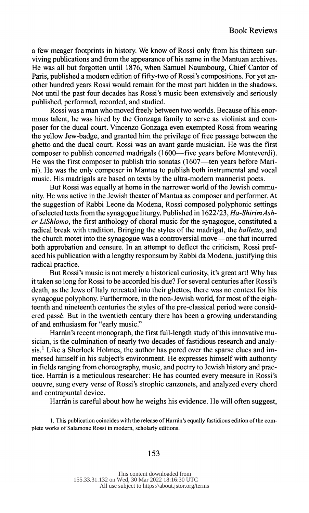a few meager footprints in history. We know of Rossi only from his thirteen sur viving publications and from the appearance of his name in the Mantuan archives. He was all but forgotten until 1876, when Samuel Naumbourg, Chief Cantor of Paris, published a modem edition of fifty-two of Rossi's compositions. For yet an other hundred years Rossi would remain for the most part hidden in the shadows. Not until the past four decades has Rossi's music been extensively and seriously published, performed, recorded, and studied.

 Rossi was a man who moved freely between two worlds. Because of his enor mous talent, he was hired by the Gonzaga family to serve as violinist and com poser for the ducal court. Vincenzo Gonzaga even exempted Rossi from wearing the yellow Jew-badge, and granted him the privilege of free passage between the ghetto and the ducal court. Rossi was an avant garde musician. He was the first composer to publish concerted madrigals (1600—five years before Monteverdi). He was the first composer to publish trio sonatas  $(1607$ —ten years before Mari ni). He was the only composer in Mantua to publish both instrumental and vocal music. His madrigals are based on texts by the ultra-modem mannerist poets.

 But Rossi was equally at home in the narrower world of the Jewish commu nity. He was active in the Jewish theater of Mantua as composer and performer. At the suggestion of Rabbi Leone da Modena, Rossi composed polyphonic settings of selected texts from the synagogue liturgy. Published in 1622/23, Ha-ShirimAsh er LiShlomo, the first anthology of choral music for the synagogue, constituted a radical break with tradition. Bringing the styles of the madrigal, the balletto, and the church motet into the synagogue was a controversial move—one that incurred both approbation and censure. In an attempt to deflect the criticism, Rossi pref aced his publication with a lengthy responsum by Rabbi da Modena, justifying this radical practice.

 But Rossi's music is not merely a historical curiosity, it's great art! Why has it taken so long for Rossi to be accorded his due? For several centuries after Rossi's death, as the Jews of Italy retreated into their ghettos, there was no context for his synagogue polyphony. Furthermore, in the non-Jewish world, for most of the eigh teenth and nineteenth centuries the styles of the pre-classical period were consid ered passe. But in the twentieth century there has been a growing understanding of and enthusiasm for "early music."

Harrán's recent monograph, the first full-length study of this innovative mu sician, is the culmination of nearly two decades of fastidious research and analy sis.<sup>1</sup> Like a Sherlock Holmes, the author has pored over the sparse clues and im mersed himself in his subject's environment. He expresses himself with authority in fields ranging from choreography, music, and poetry to Jewish history and prac tice. Harran is a meticulous researcher: He has counted every measure in Rossi's oeuvre, sung every verse of Rossi's strophic canzonets, and analyzed every chord and contrapuntal device.

Harrán is careful about how he weighs his evidence. He will often suggest,

 1. This publication coincides with the release of Harrin's equally fastidious edition of the com plete works of Salamone Rossi in modern, scholarly editions.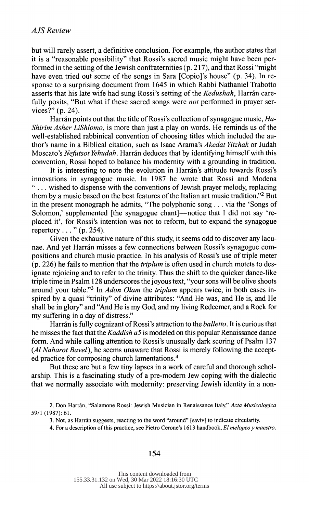but will rarely assert, a definitive conclusion. For example, the author states that it is a "reasonable possibility" that Rossi's sacred music might have been per formed in the setting of the Jewish confraternities (p. 217), and that Rossi "might have even tried out some of the songs in Sara [Copio]'s house" (p. 34). In re sponse to a surprising document from 1645 in which Rabbi Nathaniel Trabotto asserts that his late wife had sung Rossi's setting of the Kedushah, Harrán carefully posits, "But what if these sacred songs were *not* performed in prayer services?" (p. 24).

Harrán points out that the title of Rossi's collection of synagogue music, Ha- Shirim Asher LiShlomo, is more than just a play on words. He reminds us of the well-established rabbinical convention of choosing titles which included the au thor's name in a Biblical citation, such as Isaac Arama's Akedat Yitzhak or Judah Moscato's Nefutsot Yehudah. Harrán deduces that by identifying himself with this convention, Rossi hoped to balance his modernity with a grounding in tradition.

It is interesting to note the evolution in Harrán's attitude towards Rossi's innovations in synagogue music. In 1987 he wrote that Rossi and Modena " ... wished to dispense with the conventions of Jewish prayer melody, replacing them by a music based on the best features of the Italian art music tradition."2 But in the present monograph he admits, "The polyphonic song ... via the 'Songs of Solomon,' supplemented [the synagogue chant]-notice that I did not say 're placed it', for Rossi's intention was not to reform, but to expand the synagogue repertory  $\ldots$  " (p. 254).

 Given the exhaustive nature of this study, it seems odd to discover any lacu nae. And yet Harrán misses a few connections between Rossi's synagogue com positions and church music practice. In his analysis of Rossi's use of triple meter  $(p. 226)$  he fails to mention that the *triplum* is often used in church motets to des ignate rejoicing and to refer to the trinity. Thus the shift to the quicker dance-like triple time in Psalm 128 underscores the joyous text, "your sons will be olive shoots around your table."<sup>3</sup> In *Adon Olam* the *triplum* appears twice, in both cases in spired by a quasi "trinity" of divine attributes: "And He was, and He is, and He shall be in glory" and "And He is my God, and my living Redeemer, and a Rock for my suffering in a day of distress."

Harrán is fully cognizant of Rossi's attraction to the *balletto*. It is curious that he misses the fact that the Kaddish  $a5$  is modeled on this popular Renaissance dance form. And while calling attention to Rossi's unusually dark scoring of Psalm 137 (Al Naharot Bavel), he seems unaware that Rossi is merely following the accepted practice for composing church lamentations.4

 But these are but a few tiny lapses in a work of careful and thorough schol arship. This is a fascinating study of a pre-modern Jew coping with the dialectic that we normally associate with modernity: preserving Jewish identity in a non-

2. Don Harrán, "Salamone Rossi: Jewish Musician in Renaissance Italy," Acta Musicologica 59/1 (1987): 61.

3. Not, as Harrin suggests, reacting to the word "around" [saviv] to indicate circularity.

4. For a description of this practice, see Pietro Cerone's 1613 handbook, El melopeo y maestro.